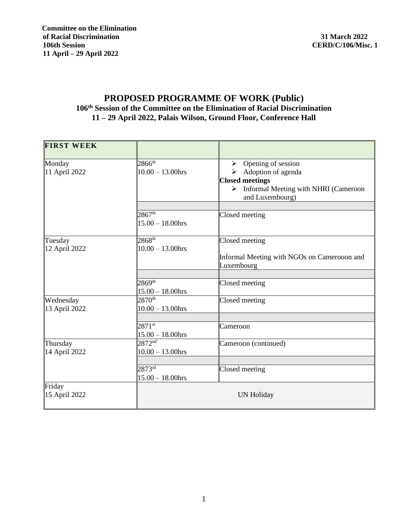## **PROPOSED PROGRAMME OF WORK (Public) 106 th Session of the Committee on the Elimination of Racial Discrimination 11 – 29 April 2022, Palais Wilson, Ground Floor, Conference Hall**

| <b>FIRST WEEK</b>         |                                           |                                             |
|---------------------------|-------------------------------------------|---------------------------------------------|
| Monday                    | $2866^{th}$                               | $\triangleright$ Opening of session         |
| 11 April 2022             | $10.00 - 13.00$ hrs                       | $\triangleright$ Adoption of agenda         |
|                           |                                           | <b>Closed meetings</b>                      |
|                           |                                           | > Informal Meeting with NHRI (Cameroon      |
|                           |                                           | and Luxembourg)                             |
|                           |                                           |                                             |
|                           | 2867 <sup>th</sup>                        | Closed meeting                              |
|                           | $15.00 - 18.00$ hrs                       |                                             |
| Tuesday                   | $2868^{\text{th}}$                        | Closed meeting                              |
| 12 April 2022             | $10.00 - 13.00$ hrs                       |                                             |
|                           |                                           | Informal Meeting with NGOs on Camerooon and |
|                           |                                           | Luxembourg                                  |
|                           |                                           |                                             |
|                           | $2869^{th}$                               | Closed meeting                              |
|                           | $15.00 - 18.00$ hrs                       |                                             |
| Wednesday                 | $2870^{th}$                               | Closed meeting                              |
| 13 April 2022             | $10.00 - 13.00$ hrs                       |                                             |
|                           |                                           |                                             |
|                           | $2871$ <sup>st</sup>                      | Cameroon                                    |
|                           | $15.00 - 18.00$ hrs<br>$2872^{\text{nd}}$ |                                             |
| Thursday<br>14 April 2022 | $10.00 - 13.00$ hrs                       | Cameroon (continued)                        |
|                           |                                           |                                             |
|                           | $2873^{\text{rd}}$                        | Closed meeting                              |
|                           | $15.00 - 18.00$ hrs                       |                                             |
| Friday                    |                                           |                                             |
| 15 April 2022             |                                           | UN Holiday                                  |
|                           |                                           |                                             |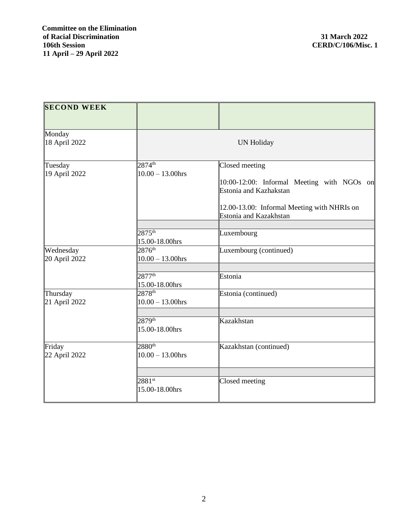| <b>SECOND WEEK</b>         |                                                                 |                                                                                        |  |
|----------------------------|-----------------------------------------------------------------|----------------------------------------------------------------------------------------|--|
| Monday<br>18 April 2022    |                                                                 | <b>UN Holiday</b>                                                                      |  |
| Tuesday<br>19 April 2022   | $2874^{\text{th}}$<br>$10.00 - 13.00$ hrs                       | Closed meeting<br>10:00-12:00: Informal Meeting with NGOs on<br>Estonia and Kazhakstan |  |
|                            | $2875^{\text{th}}$<br>15.00-18.00hrs                            | 12.00-13.00: Informal Meeting with NHRIs on<br>Estonia and Kazakhstan<br>Luxembourg    |  |
| Wednesday<br>20 April 2022 | $2876^{\text{th}}$<br>$10.00 - 13.00$ hrs<br>$2877^{\text{th}}$ | Luxembourg (continued)<br>Estonia                                                      |  |
| Thursday<br>21 April 2022  | 15.00-18.00hrs<br>$2878^{\text{th}}$<br>$10.00 - 13.00$ hrs     | Estonia (continued)                                                                    |  |
|                            | $2879^{th}$<br>15.00-18.00hrs                                   | Kazakhstan                                                                             |  |
| Friday<br>22 April 2022    | $2880^{th}$<br>$10.00 - 13.00$ hrs                              | Kazakhstan (continued)                                                                 |  |
|                            | $2881^{st}$<br>15.00-18.00hrs                                   | Closed meeting                                                                         |  |